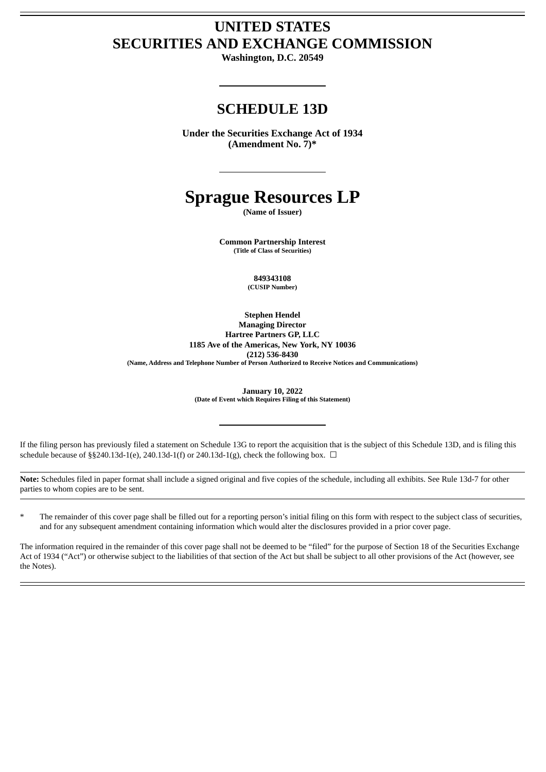# **UNITED STATES SECURITIES AND EXCHANGE COMMISSION**

**Washington, D.C. 20549**

# **SCHEDULE 13D**

**Under the Securities Exchange Act of 1934 (Amendment No. 7)\***

# **Sprague Resources LP**

**(Name of Issuer)**

**Common Partnership Interest (Title of Class of Securities)**

> **849343108 (CUSIP Number)**

**Stephen Hendel Managing Director Hartree Partners GP, LLC 1185 Ave of the Americas, New York, NY 10036 (212) 536-8430 (Name, Address and Telephone Number of Person Authorized to Receive Notices and Communications)**

**January 10, 2022**

**(Date of Event which Requires Filing of this Statement)**

If the filing person has previously filed a statement on Schedule 13G to report the acquisition that is the subject of this Schedule 13D, and is filing this schedule because of §§240.13d-1(e), 240.13d-1(f) or 240.13d-1(g), check the following box.  $\Box$ 

**Note:** Schedules filed in paper format shall include a signed original and five copies of the schedule, including all exhibits. See Rule 13d-7 for other parties to whom copies are to be sent.

\* The remainder of this cover page shall be filled out for a reporting person's initial filing on this form with respect to the subject class of securities, and for any subsequent amendment containing information which would alter the disclosures provided in a prior cover page.

The information required in the remainder of this cover page shall not be deemed to be "filed" for the purpose of Section 18 of the Securities Exchange Act of 1934 ("Act") or otherwise subject to the liabilities of that section of the Act but shall be subject to all other provisions of the Act (however, see the Notes).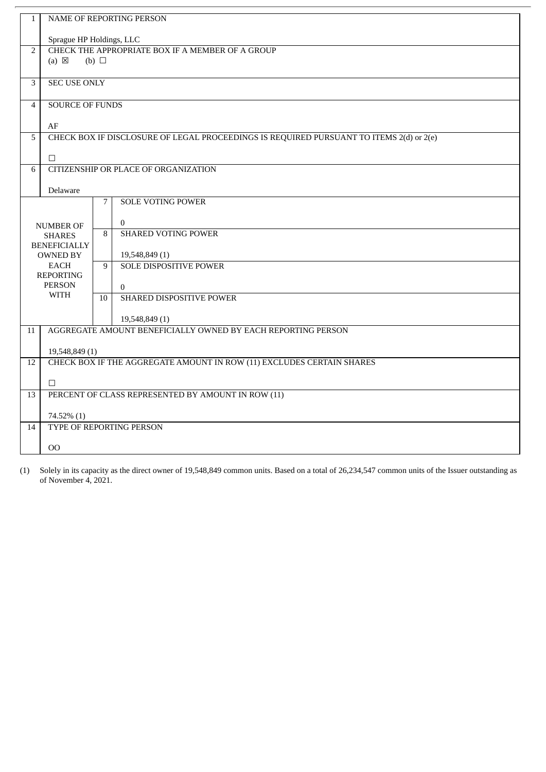| $\mathbf{1}$   |                                                                                         |            | NAME OF REPORTING PERSON                                              |  |  |
|----------------|-----------------------------------------------------------------------------------------|------------|-----------------------------------------------------------------------|--|--|
|                | Sprague HP Holdings, LLC                                                                |            |                                                                       |  |  |
| $\overline{2}$ | CHECK THE APPROPRIATE BOX IF A MEMBER OF A GROUP                                        |            |                                                                       |  |  |
|                | $(a) \boxtimes$                                                                         | (b) $\Box$ |                                                                       |  |  |
| $\overline{3}$ | <b>SEC USE ONLY</b>                                                                     |            |                                                                       |  |  |
| $\overline{4}$ | <b>SOURCE OF FUNDS</b>                                                                  |            |                                                                       |  |  |
|                | AF                                                                                      |            |                                                                       |  |  |
| 5              | CHECK BOX IF DISCLOSURE OF LEGAL PROCEEDINGS IS REQUIRED PURSUANT TO ITEMS 2(d) or 2(e) |            |                                                                       |  |  |
|                |                                                                                         |            |                                                                       |  |  |
| 6              | $\Box$<br>CITIZENSHIP OR PLACE OF ORGANIZATION                                          |            |                                                                       |  |  |
|                |                                                                                         |            |                                                                       |  |  |
|                | Delaware                                                                                |            |                                                                       |  |  |
|                |                                                                                         | 7          | <b>SOLE VOTING POWER</b>                                              |  |  |
|                |                                                                                         |            | $\bf{0}$                                                              |  |  |
|                | <b>NUMBER OF</b><br><b>SHARES</b>                                                       | 8          | <b>SHARED VOTING POWER</b>                                            |  |  |
|                | <b>BENEFICIALLY</b>                                                                     |            |                                                                       |  |  |
|                | <b>OWNED BY</b>                                                                         |            | 19,548,849 (1)                                                        |  |  |
|                | EACH<br><b>REPORTING</b>                                                                | 9          | <b>SOLE DISPOSITIVE POWER</b>                                         |  |  |
|                | <b>PERSON</b>                                                                           |            | $\Omega$                                                              |  |  |
|                | WITH                                                                                    | 10         | SHARED DISPOSITIVE POWER                                              |  |  |
|                |                                                                                         |            |                                                                       |  |  |
|                |                                                                                         |            | 19,548,849 (1)                                                        |  |  |
| 11             |                                                                                         |            | AGGREGATE AMOUNT BENEFICIALLY OWNED BY EACH REPORTING PERSON          |  |  |
|                | 19,548,849 (1)                                                                          |            |                                                                       |  |  |
| 12             |                                                                                         |            | CHECK BOX IF THE AGGREGATE AMOUNT IN ROW (11) EXCLUDES CERTAIN SHARES |  |  |
|                |                                                                                         |            |                                                                       |  |  |
|                | $\Box$                                                                                  |            |                                                                       |  |  |
| 13             |                                                                                         |            | PERCENT OF CLASS REPRESENTED BY AMOUNT IN ROW (11)                    |  |  |
|                | 74.52% (1)                                                                              |            |                                                                       |  |  |
| 14             |                                                                                         |            | TYPE OF REPORTING PERSON                                              |  |  |
|                |                                                                                         |            |                                                                       |  |  |
|                | 00                                                                                      |            |                                                                       |  |  |

(1) Solely in its capacity as the direct owner of 19,548,849 common units. Based on a total of 26,234,547 common units of the Issuer outstanding as of November 4, 2021.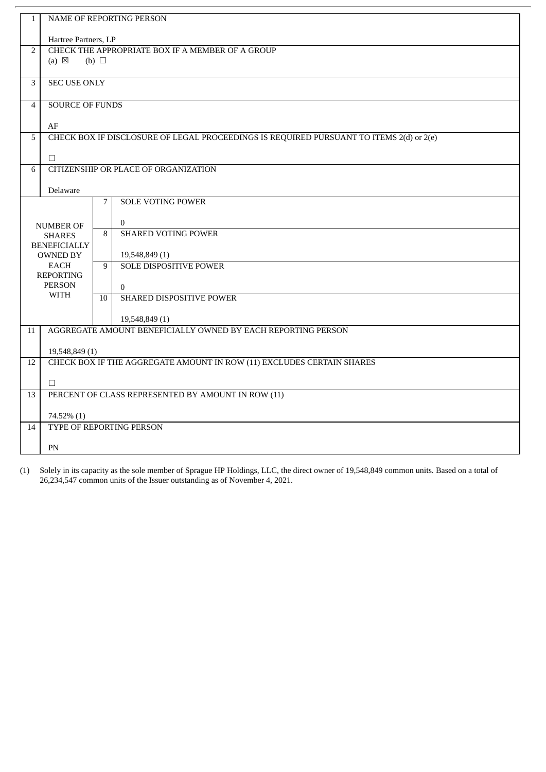| $\mathbf{1}$   |                                                              |                 |                                                                                         |  |  |
|----------------|--------------------------------------------------------------|-----------------|-----------------------------------------------------------------------------------------|--|--|
|                | NAME OF REPORTING PERSON                                     |                 |                                                                                         |  |  |
|                | Hartree Partners, LP                                         |                 |                                                                                         |  |  |
| $\overline{2}$ | CHECK THE APPROPRIATE BOX IF A MEMBER OF A GROUP             |                 |                                                                                         |  |  |
|                | $(a) \boxtimes$                                              | (b) $\Box$      |                                                                                         |  |  |
|                |                                                              |                 |                                                                                         |  |  |
| 3              | <b>SEC USE ONLY</b>                                          |                 |                                                                                         |  |  |
| $\overline{4}$ | <b>SOURCE OF FUNDS</b>                                       |                 |                                                                                         |  |  |
|                |                                                              |                 |                                                                                         |  |  |
|                | AF                                                           |                 |                                                                                         |  |  |
| 5              |                                                              |                 | CHECK BOX IF DISCLOSURE OF LEGAL PROCEEDINGS IS REQUIRED PURSUANT TO ITEMS 2(d) or 2(e) |  |  |
|                | $\Box$                                                       |                 |                                                                                         |  |  |
| 6              | <b>CITIZENSHIP OR PLACE OF ORGANIZATION</b>                  |                 |                                                                                         |  |  |
|                |                                                              |                 |                                                                                         |  |  |
|                | Delaware                                                     |                 |                                                                                         |  |  |
|                |                                                              | $7^{\circ}$     | <b>SOLE VOTING POWER</b>                                                                |  |  |
|                |                                                              |                 |                                                                                         |  |  |
|                | <b>NUMBER OF</b>                                             | 8               | $\mathbf{0}$<br><b>SHARED VOTING POWER</b>                                              |  |  |
|                | <b>SHARES</b><br><b>BENEFICIALLY</b>                         |                 |                                                                                         |  |  |
|                | <b>OWNED BY</b>                                              |                 | 19,548,849 (1)                                                                          |  |  |
|                | <b>EACH</b>                                                  | 9               | <b>SOLE DISPOSITIVE POWER</b>                                                           |  |  |
|                | <b>REPORTING</b>                                             |                 |                                                                                         |  |  |
|                | <b>PERSON</b><br><b>WITH</b>                                 |                 | $\Omega$                                                                                |  |  |
|                |                                                              | 10 <sup>1</sup> | SHARED DISPOSITIVE POWER                                                                |  |  |
|                |                                                              |                 | 19,548,849 (1)                                                                          |  |  |
| 11             |                                                              |                 | AGGREGATE AMOUNT BENEFICIALLY OWNED BY EACH REPORTING PERSON                            |  |  |
|                |                                                              |                 |                                                                                         |  |  |
|                | 19,548,849 (1)                                               |                 |                                                                                         |  |  |
| 12             |                                                              |                 | CHECK BOX IF THE AGGREGATE AMOUNT IN ROW (11) EXCLUDES CERTAIN SHARES                   |  |  |
|                |                                                              |                 |                                                                                         |  |  |
| 13             | $\Box$<br>PERCENT OF CLASS REPRESENTED BY AMOUNT IN ROW (11) |                 |                                                                                         |  |  |
|                |                                                              |                 |                                                                                         |  |  |
|                | 74.52% (1)                                                   |                 |                                                                                         |  |  |
| 14             |                                                              |                 | TYPE OF REPORTING PERSON                                                                |  |  |
|                |                                                              |                 |                                                                                         |  |  |
|                | PN                                                           |                 |                                                                                         |  |  |

(1) Solely in its capacity as the sole member of Sprague HP Holdings, LLC, the direct owner of 19,548,849 common units. Based on a total of 26,234,547 common units of the Issuer outstanding as of November 4, 2021.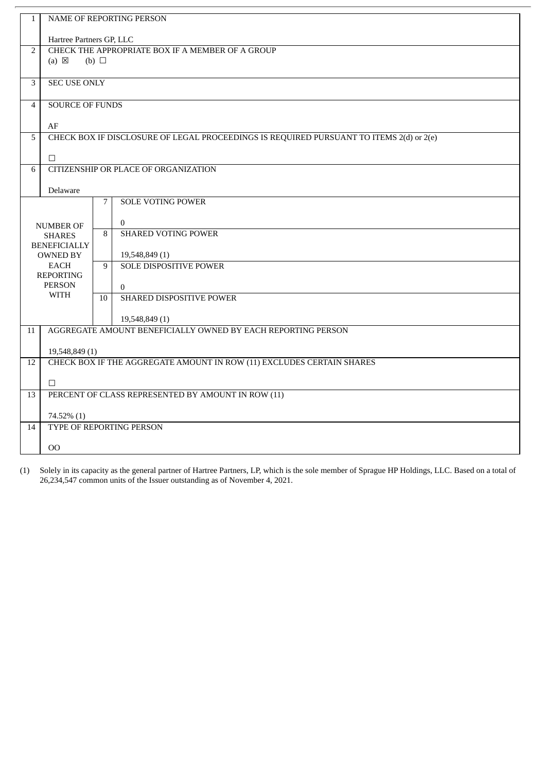| $\mathbf{1}$   | <b>NAME OF REPORTING PERSON</b>                  |                 |                                                                                         |  |  |
|----------------|--------------------------------------------------|-----------------|-----------------------------------------------------------------------------------------|--|--|
|                | Hartree Partners GP, LLC                         |                 |                                                                                         |  |  |
| $\overline{2}$ | CHECK THE APPROPRIATE BOX IF A MEMBER OF A GROUP |                 |                                                                                         |  |  |
|                | $(a) \boxtimes$<br>$(b)$ $\square$               |                 |                                                                                         |  |  |
| 3              | <b>SEC USE ONLY</b>                              |                 |                                                                                         |  |  |
| $\overline{4}$ |                                                  |                 |                                                                                         |  |  |
|                | <b>SOURCE OF FUNDS</b>                           |                 |                                                                                         |  |  |
|                | AF                                               |                 |                                                                                         |  |  |
| 5              |                                                  |                 | CHECK BOX IF DISCLOSURE OF LEGAL PROCEEDINGS IS REQUIRED PURSUANT TO ITEMS 2(d) or 2(e) |  |  |
|                | $\Box$                                           |                 |                                                                                         |  |  |
| 6              |                                                  |                 | CITIZENSHIP OR PLACE OF ORGANIZATION                                                    |  |  |
|                | Delaware                                         |                 |                                                                                         |  |  |
|                |                                                  | $7\overline{ }$ | <b>SOLE VOTING POWER</b>                                                                |  |  |
|                |                                                  |                 | $\mathbf{0}$                                                                            |  |  |
|                | <b>NUMBER OF</b>                                 | 8               | <b>SHARED VOTING POWER</b>                                                              |  |  |
|                | <b>SHARES</b><br><b>BENEFICIALLY</b>             |                 |                                                                                         |  |  |
|                | <b>OWNED BY</b>                                  |                 | 19,548,849 (1)                                                                          |  |  |
|                | <b>EACH</b>                                      | 9               | <b>SOLE DISPOSITIVE POWER</b>                                                           |  |  |
|                | <b>REPORTING</b>                                 |                 |                                                                                         |  |  |
|                | <b>PERSON</b>                                    |                 | $\Omega$                                                                                |  |  |
|                | <b>WITH</b>                                      | 10 <sup>1</sup> | SHARED DISPOSITIVE POWER                                                                |  |  |
|                |                                                  |                 | 19,548,849 (1)                                                                          |  |  |
| 11             |                                                  |                 | AGGREGATE AMOUNT BENEFICIALLY OWNED BY EACH REPORTING PERSON                            |  |  |
|                |                                                  |                 |                                                                                         |  |  |
| 12             | 19,548,849 (1)                                   |                 | CHECK BOX IF THE AGGREGATE AMOUNT IN ROW (11) EXCLUDES CERTAIN SHARES                   |  |  |
|                |                                                  |                 |                                                                                         |  |  |
|                | $\Box$                                           |                 |                                                                                         |  |  |
| 13             |                                                  |                 | PERCENT OF CLASS REPRESENTED BY AMOUNT IN ROW (11)                                      |  |  |
|                | 74.52% (1)                                       |                 |                                                                                         |  |  |
| 14             |                                                  |                 | TYPE OF REPORTING PERSON                                                                |  |  |
|                | OO                                               |                 |                                                                                         |  |  |
|                |                                                  |                 |                                                                                         |  |  |

(1) Solely in its capacity as the general partner of Hartree Partners, LP, which is the sole member of Sprague HP Holdings, LLC. Based on a total of 26,234,547 common units of the Issuer outstanding as of November 4, 2021.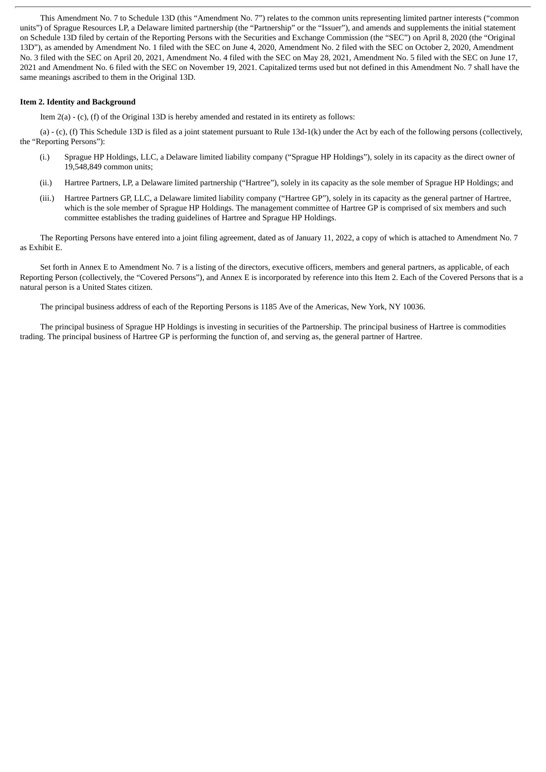This Amendment No. 7 to Schedule 13D (this "Amendment No. 7") relates to the common units representing limited partner interests ("common units") of Sprague Resources LP, a Delaware limited partnership (the "Partnership" or the "Issuer"), and amends and supplements the initial statement on Schedule 13D filed by certain of the Reporting Persons with the Securities and Exchange Commission (the "SEC") on April 8, 2020 (the "Original 13D"), as amended by Amendment No. 1 filed with the SEC on June 4, 2020, Amendment No. 2 filed with the SEC on October 2, 2020, Amendment No. 3 filed with the SEC on April 20, 2021, Amendment No. 4 filed with the SEC on May 28, 2021, Amendment No. 5 filed with the SEC on June 17, 2021 and Amendment No. 6 filed with the SEC on November 19, 2021. Capitalized terms used but not defined in this Amendment No. 7 shall have the same meanings ascribed to them in the Original 13D.

# **Item 2. Identity and Background**

Item 2(a) - (c), (f) of the Original 13D is hereby amended and restated in its entirety as follows:

(a) - (c), (f) This Schedule 13D is filed as a joint statement pursuant to Rule 13d-1(k) under the Act by each of the following persons (collectively, the "Reporting Persons"):

- (i.) Sprague HP Holdings, LLC, a Delaware limited liability company ("Sprague HP Holdings"), solely in its capacity as the direct owner of 19,548,849 common units;
- (ii.) Hartree Partners, LP, a Delaware limited partnership ("Hartree"), solely in its capacity as the sole member of Sprague HP Holdings; and
- (iii.) Hartree Partners GP, LLC, a Delaware limited liability company ("Hartree GP"), solely in its capacity as the general partner of Hartree, which is the sole member of Sprague HP Holdings. The management committee of Hartree GP is comprised of six members and such committee establishes the trading guidelines of Hartree and Sprague HP Holdings.

The Reporting Persons have entered into a joint filing agreement, dated as of January 11, 2022, a copy of which is attached to Amendment No. 7 as Exhibit E.

Set forth in Annex E to Amendment No. 7 is a listing of the directors, executive officers, members and general partners, as applicable, of each Reporting Person (collectively, the "Covered Persons"), and Annex E is incorporated by reference into this Item 2. Each of the Covered Persons that is a natural person is a United States citizen.

The principal business address of each of the Reporting Persons is 1185 Ave of the Americas, New York, NY 10036.

The principal business of Sprague HP Holdings is investing in securities of the Partnership. The principal business of Hartree is commodities trading. The principal business of Hartree GP is performing the function of, and serving as, the general partner of Hartree.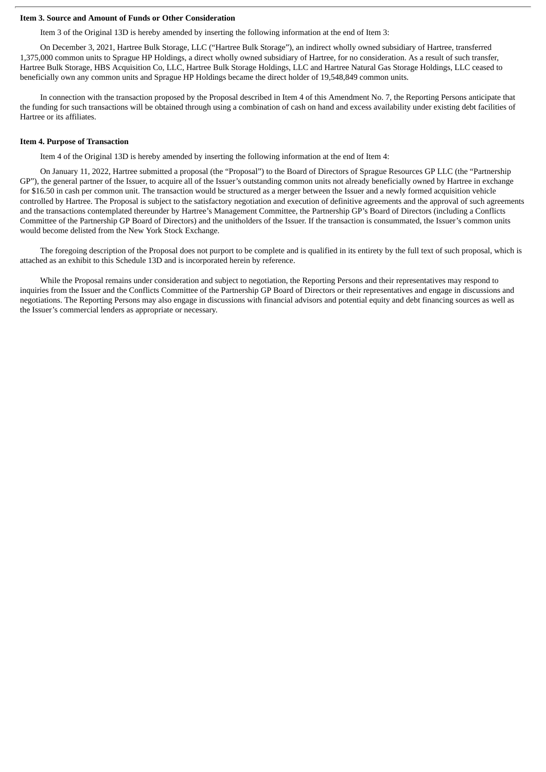### **Item 3. Source and Amount of Funds or Other Consideration**

Item 3 of the Original 13D is hereby amended by inserting the following information at the end of Item 3:

On December 3, 2021, Hartree Bulk Storage, LLC ("Hartree Bulk Storage"), an indirect wholly owned subsidiary of Hartree, transferred 1,375,000 common units to Sprague HP Holdings, a direct wholly owned subsidiary of Hartree, for no consideration. As a result of such transfer, Hartree Bulk Storage, HBS Acquisition Co, LLC, Hartree Bulk Storage Holdings, LLC and Hartree Natural Gas Storage Holdings, LLC ceased to beneficially own any common units and Sprague HP Holdings became the direct holder of 19,548,849 common units.

In connection with the transaction proposed by the Proposal described in Item 4 of this Amendment No. 7, the Reporting Persons anticipate that the funding for such transactions will be obtained through using a combination of cash on hand and excess availability under existing debt facilities of Hartree or its affiliates.

#### **Item 4. Purpose of Transaction**

Item 4 of the Original 13D is hereby amended by inserting the following information at the end of Item 4:

On January 11, 2022, Hartree submitted a proposal (the "Proposal") to the Board of Directors of Sprague Resources GP LLC (the "Partnership GP"), the general partner of the Issuer, to acquire all of the Issuer's outstanding common units not already beneficially owned by Hartree in exchange for \$16.50 in cash per common unit. The transaction would be structured as a merger between the Issuer and a newly formed acquisition vehicle controlled by Hartree. The Proposal is subject to the satisfactory negotiation and execution of definitive agreements and the approval of such agreements and the transactions contemplated thereunder by Hartree's Management Committee, the Partnership GP's Board of Directors (including a Conflicts Committee of the Partnership GP Board of Directors) and the unitholders of the Issuer. If the transaction is consummated, the Issuer's common units would become delisted from the New York Stock Exchange.

The foregoing description of the Proposal does not purport to be complete and is qualified in its entirety by the full text of such proposal, which is attached as an exhibit to this Schedule 13D and is incorporated herein by reference.

While the Proposal remains under consideration and subject to negotiation, the Reporting Persons and their representatives may respond to inquiries from the Issuer and the Conflicts Committee of the Partnership GP Board of Directors or their representatives and engage in discussions and negotiations. The Reporting Persons may also engage in discussions with financial advisors and potential equity and debt financing sources as well as the Issuer's commercial lenders as appropriate or necessary.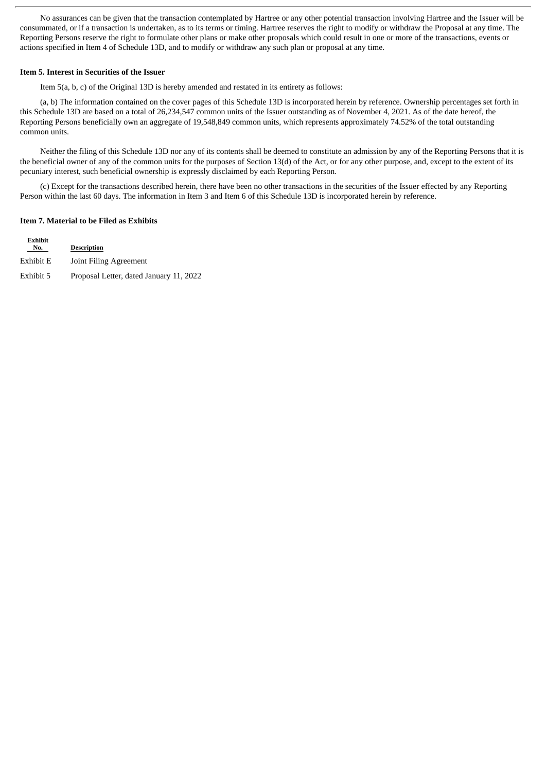No assurances can be given that the transaction contemplated by Hartree or any other potential transaction involving Hartree and the Issuer will be consummated, or if a transaction is undertaken, as to its terms or timing. Hartree reserves the right to modify or withdraw the Proposal at any time. The Reporting Persons reserve the right to formulate other plans or make other proposals which could result in one or more of the transactions, events or actions specified in Item 4 of Schedule 13D, and to modify or withdraw any such plan or proposal at any time.

#### **Item 5. Interest in Securities of the Issuer**

Item 5(a, b, c) of the Original 13D is hereby amended and restated in its entirety as follows:

(a, b) The information contained on the cover pages of this Schedule 13D is incorporated herein by reference. Ownership percentages set forth in this Schedule 13D are based on a total of 26,234,547 common units of the Issuer outstanding as of November 4, 2021. As of the date hereof, the Reporting Persons beneficially own an aggregate of 19,548,849 common units, which represents approximately 74.52% of the total outstanding common units.

Neither the filing of this Schedule 13D nor any of its contents shall be deemed to constitute an admission by any of the Reporting Persons that it is the beneficial owner of any of the common units for the purposes of Section 13(d) of the Act, or for any other purpose, and, except to the extent of its pecuniary interest, such beneficial ownership is expressly disclaimed by each Reporting Person.

(c) Except for the transactions described herein, there have been no other transactions in the securities of the Issuer effected by any Reporting Person within the last 60 days. The information in Item 3 and Item 6 of this Schedule 13D is incorporated herein by reference.

#### **Item 7. Material to be Filed as Exhibits**

| Exhibit<br>No. | <b>Description</b>                      |
|----------------|-----------------------------------------|
| Exhibit E      | Joint Filing Agreement                  |
| Exhibit 5      | Proposal Letter, dated January 11, 2022 |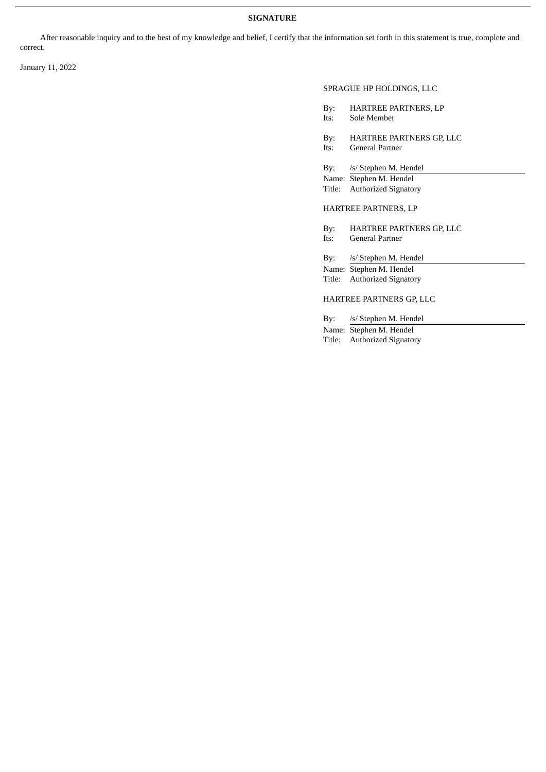# **SIGNATURE**

After reasonable inquiry and to the best of my knowledge and belief, I certify that the information set forth in this statement is true, complete and correct.

January 11, 2022

# SPRAGUE HP HOLDINGS, LLC

- By: HARTREE PARTNERS, LP
- Its: Sole Member
- By: HARTREE PARTNERS GP, LLC
- Its: General Partner

By: /s/ Stephen M. Hendel

Name: Stephen M. Hendel

Title: Authorized Signatory

HARTREE PARTNERS, LP

By: HARTREE PARTNERS GP, LLC Its: General Partner

By: /s/ Stephen M. Hendel

Name: Stephen M. Hendel Title: Authorized Signatory

HARTREE PARTNERS GP, LLC

By: /s/ Stephen M. Hendel

Name: Stephen M. Hendel Title: Authorized Signatory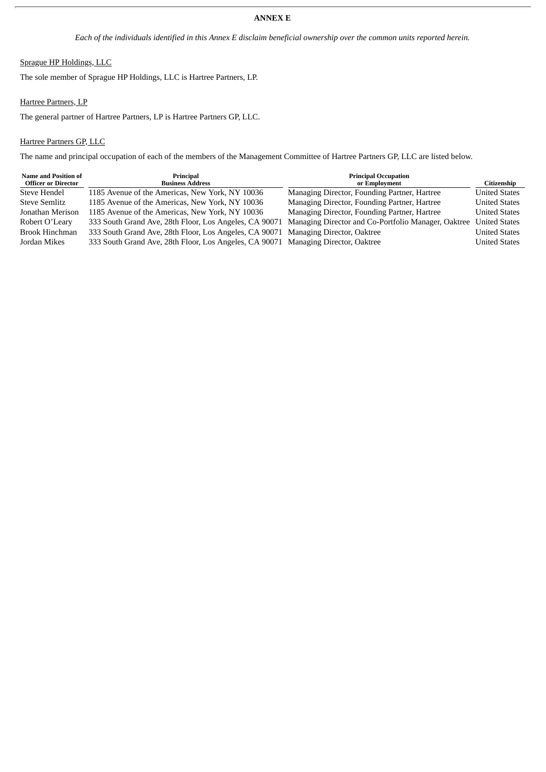# **ANNEX E**

Each of the individuals identified in this Annex E disclaim beneficial ownership over the common units reported herein.

# Sprague HP Holdings, LLC

The sole member of Sprague HP Holdings, LLC is Hartree Partners, LP.

# Hartree Partners, LP

The general partner of Hartree Partners, LP is Hartree Partners GP, LLC.

# Hartree Partners GP, LLC

The name and principal occupation of each of the members of the Management Committee of Hartree Partners GP, LLC are listed below.

| <b>Name and Position of</b><br><b>Officer or Director</b> | Principal<br><b>Business Address</b>                                                                       | <b>Principal Occupation</b><br>or Employment | Citizenship          |
|-----------------------------------------------------------|------------------------------------------------------------------------------------------------------------|----------------------------------------------|----------------------|
| Steve Hendel                                              | 1185 Avenue of the Americas, New York, NY 10036                                                            | Managing Director, Founding Partner, Hartree | <b>United States</b> |
| <b>Steve Semlitz</b>                                      | 1185 Avenue of the Americas, New York, NY 10036                                                            | Managing Director, Founding Partner, Hartree | <b>United States</b> |
| Jonathan Merison                                          | 1185 Avenue of the Americas, New York, NY 10036                                                            | Managing Director, Founding Partner, Hartree | <b>United States</b> |
| Robert O'Leary                                            | 333 South Grand Ave, 28th Floor, Los Angeles, CA 90071 Managing Director and Co-Portfolio Manager, Oaktree |                                              | <b>United States</b> |
| <b>Brook Hinchman</b>                                     | 333 South Grand Ave, 28th Floor, Los Angeles, CA 90071 Managing Director, Oaktree                          |                                              | <b>United States</b> |
| Jordan Mikes                                              | 333 South Grand Ave, 28th Floor, Los Angeles, CA 90071 Managing Director, Oaktree                          |                                              | <b>United States</b> |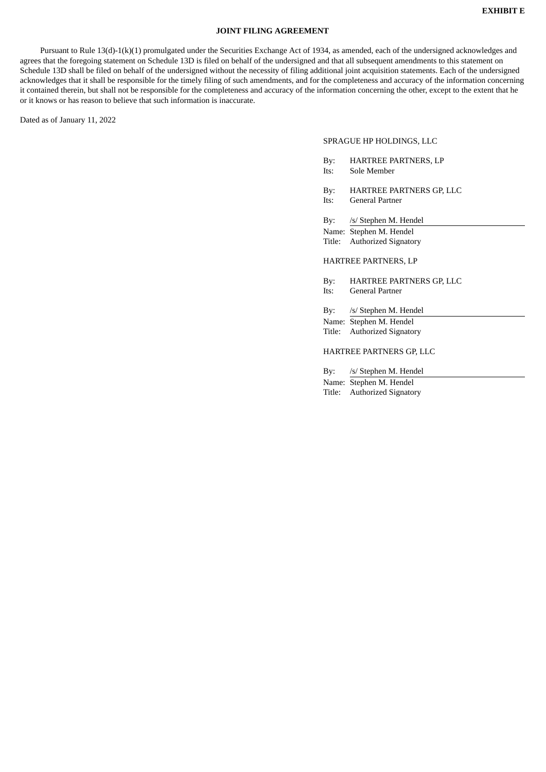# **JOINT FILING AGREEMENT**

Pursuant to Rule 13(d)-1(k)(1) promulgated under the Securities Exchange Act of 1934, as amended, each of the undersigned acknowledges and agrees that the foregoing statement on Schedule 13D is filed on behalf of the undersigned and that all subsequent amendments to this statement on Schedule 13D shall be filed on behalf of the undersigned without the necessity of filing additional joint acquisition statements. Each of the undersigned acknowledges that it shall be responsible for the timely filing of such amendments, and for the completeness and accuracy of the information concerning it contained therein, but shall not be responsible for the completeness and accuracy of the information concerning the other, except to the extent that he or it knows or has reason to believe that such information is inaccurate.

Dated as of January 11, 2022

#### SPRAGUE HP HOLDINGS, LLC

| By:  | <b>HARTREE PARTNERS, LP</b> |
|------|-----------------------------|
| Its: | Sole Member                 |

- By: HARTREE PARTNERS GP, LLC
- Its: General Partner
- By: /s/ Stephen M. Hendel
- Name: Stephen M. Hendel Title: Authorized Signatory

# HARTREE PARTNERS, LP

By: HARTREE PARTNERS GP, LLC Its: General Partner

By: /s/ Stephen M. Hendel

Name: Stephen M. Hendel Title: Authorized Signatory

#### HARTREE PARTNERS GP, LLC

By: /s/ Stephen M. Hendel Name: Stephen M. Hendel Title: Authorized Signatory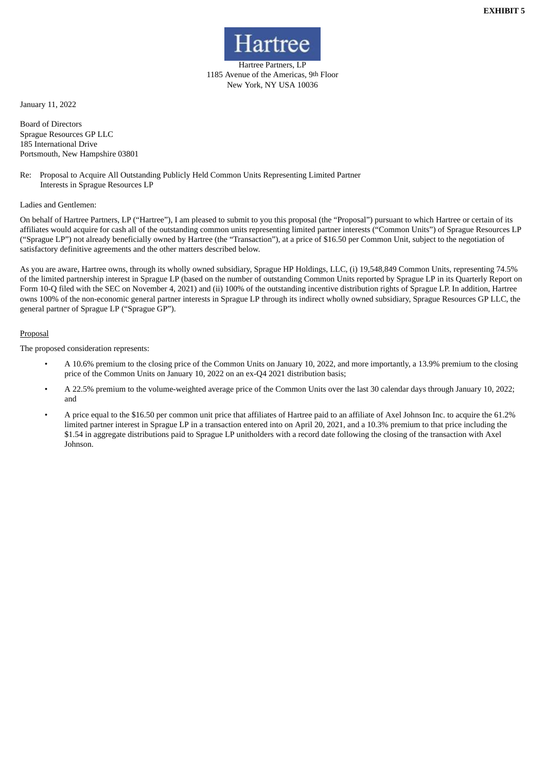

Hartree Partners, LP 1185 Avenue of the Americas, 9th Floor New York, NY USA 10036

January 11, 2022

Board of Directors Sprague Resources GP LLC 185 International Drive Portsmouth, New Hampshire 03801

Re: Proposal to Acquire All Outstanding Publicly Held Common Units Representing Limited Partner Interests in Sprague Resources LP

### Ladies and Gentlemen:

On behalf of Hartree Partners, LP ("Hartree"), I am pleased to submit to you this proposal (the "Proposal") pursuant to which Hartree or certain of its affiliates would acquire for cash all of the outstanding common units representing limited partner interests ("Common Units") of Sprague Resources LP ("Sprague LP") not already beneficially owned by Hartree (the "Transaction"), at a price of \$16.50 per Common Unit, subject to the negotiation of satisfactory definitive agreements and the other matters described below.

As you are aware, Hartree owns, through its wholly owned subsidiary, Sprague HP Holdings, LLC, (i) 19,548,849 Common Units, representing 74.5% of the limited partnership interest in Sprague LP (based on the number of outstanding Common Units reported by Sprague LP in its Quarterly Report on Form 10-Q filed with the SEC on November 4, 2021) and (ii) 100% of the outstanding incentive distribution rights of Sprague LP. In addition, Hartree owns 100% of the non-economic general partner interests in Sprague LP through its indirect wholly owned subsidiary, Sprague Resources GP LLC, the general partner of Sprague LP ("Sprague GP").

### **Proposal**

The proposed consideration represents:

- A 10.6% premium to the closing price of the Common Units on January 10, 2022, and more importantly, a 13.9% premium to the closing price of the Common Units on January 10, 2022 on an ex-Q4 2021 distribution basis;
- A 22.5% premium to the volume-weighted average price of the Common Units over the last 30 calendar days through January 10, 2022; and
- A price equal to the \$16.50 per common unit price that affiliates of Hartree paid to an affiliate of Axel Johnson Inc. to acquire the 61.2% limited partner interest in Sprague LP in a transaction entered into on April 20, 2021, and a 10.3% premium to that price including the \$1.54 in aggregate distributions paid to Sprague LP unitholders with a record date following the closing of the transaction with Axel Johnson.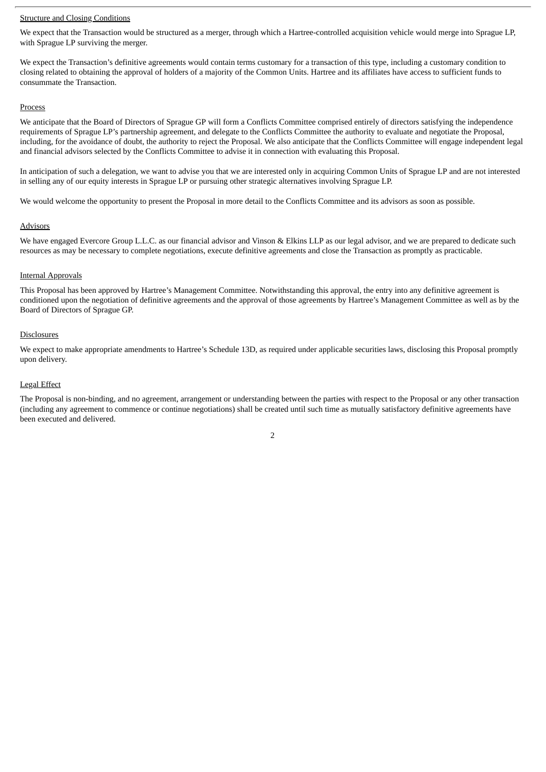#### Structure and Closing Conditions

We expect that the Transaction would be structured as a merger, through which a Hartree-controlled acquisition vehicle would merge into Sprague LP, with Sprague LP surviving the merger.

We expect the Transaction's definitive agreements would contain terms customary for a transaction of this type, including a customary condition to closing related to obtaining the approval of holders of a majority of the Common Units. Hartree and its affiliates have access to sufficient funds to consummate the Transaction.

#### Process

We anticipate that the Board of Directors of Sprague GP will form a Conflicts Committee comprised entirely of directors satisfying the independence requirements of Sprague LP's partnership agreement, and delegate to the Conflicts Committee the authority to evaluate and negotiate the Proposal, including, for the avoidance of doubt, the authority to reject the Proposal. We also anticipate that the Conflicts Committee will engage independent legal and financial advisors selected by the Conflicts Committee to advise it in connection with evaluating this Proposal.

In anticipation of such a delegation, we want to advise you that we are interested only in acquiring Common Units of Sprague LP and are not interested in selling any of our equity interests in Sprague LP or pursuing other strategic alternatives involving Sprague LP.

We would welcome the opportunity to present the Proposal in more detail to the Conflicts Committee and its advisors as soon as possible.

# Advisors

We have engaged Evercore Group L.L.C. as our financial advisor and Vinson & Elkins LLP as our legal advisor, and we are prepared to dedicate such resources as may be necessary to complete negotiations, execute definitive agreements and close the Transaction as promptly as practicable.

# Internal Approvals

This Proposal has been approved by Hartree's Management Committee. Notwithstanding this approval, the entry into any definitive agreement is conditioned upon the negotiation of definitive agreements and the approval of those agreements by Hartree's Management Committee as well as by the Board of Directors of Sprague GP.

# **Disclosures**

We expect to make appropriate amendments to Hartree's Schedule 13D, as required under applicable securities laws, disclosing this Proposal promptly upon delivery.

### Legal Effect

The Proposal is non-binding, and no agreement, arrangement or understanding between the parties with respect to the Proposal or any other transaction (including any agreement to commence or continue negotiations) shall be created until such time as mutually satisfactory definitive agreements have been executed and delivered.